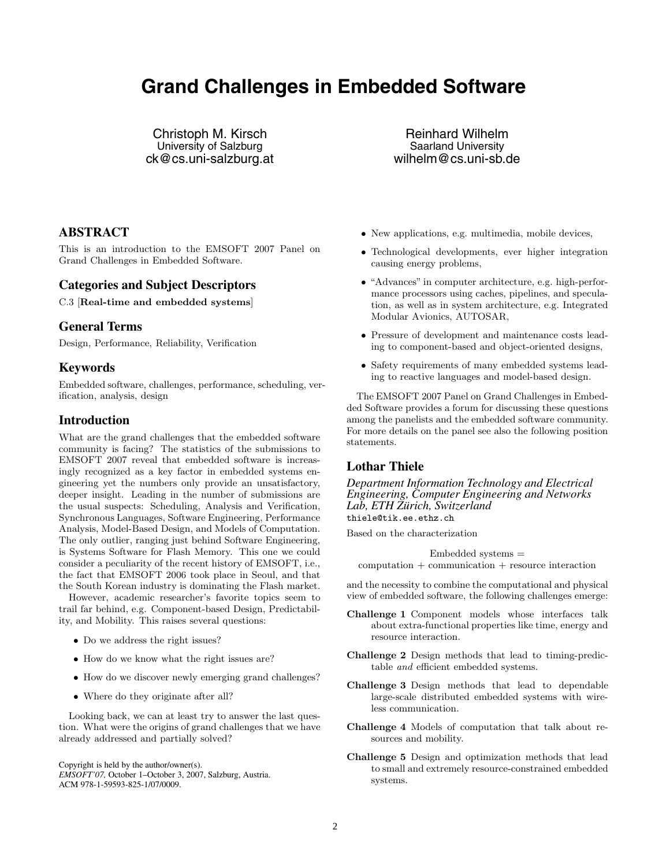# **Grand Challenges in Embedded Software**

Christoph M. Kirsch University of Salzburg ck@cs.uni-salzburg.at

Reinhard Wilhelm Saarland University wilhelm@cs.uni-sb.de

# **ABSTRACT**

This is an introduction to the EMSOFT 2007 Panel on Grand Challenges in Embedded Software.

## **Categories and Subject Descriptors**

C.3 [**Real-time and embedded systems**]

#### **General Terms**

Design, Performance, Reliability, Verification

## **Keywords**

Embedded software, challenges, performance, scheduling, verification, analysis, design

### **Introduction**

What are the grand challenges that the embedded software community is facing? The statistics of the submissions to EMSOFT 2007 reveal that embedded software is increasingly recognized as a key factor in embedded systems engineering yet the numbers only provide an unsatisfactory, deeper insight. Leading in the number of submissions are the usual suspects: Scheduling, Analysis and Verification, Synchronous Languages, Software Engineering, Performance Analysis, Model-Based Design, and Models of Computation. The only outlier, ranging just behind Software Engineering, is Systems Software for Flash Memory. This one we could consider a peculiarity of the recent history of EMSOFT, i.e., the fact that EMSOFT 2006 took place in Seoul, and that the South Korean industry is dominating the Flash market.

However, academic researcher's favorite topics seem to trail far behind, e.g. Component-based Design, Predictability, and Mobility. This raises several questions:

- Do we address the right issues?
- How do we know what the right issues are?
- How do we discover newly emerging grand challenges?
- Where do they originate after all?

Looking back, we can at least try to answer the last question. What were the origins of grand challenges that we have already addressed and partially solved?

Copyright is held by the author/owner(s). *EMSOFT'07,* October 1–October 3, 2007, Salzburg, Austria. ACM 978-1-59593-825-1/07/0009.

- *•* New applications, e.g. multimedia, mobile devices,
- *•* Technological developments, ever higher integration causing energy problems,
- *•* "Advances" in computer architecture, e.g. high-performance processors using caches, pipelines, and speculation, as well as in system architecture, e.g. Integrated Modular Avionics, AUTOSAR,
- *•* Pressure of development and maintenance costs leading to component-based and object-oriented designs,
- *•* Safety requirements of many embedded systems leading to reactive languages and model-based design.

The EMSOFT 2007 Panel on Grand Challenges in Embedded Software provides a forum for discussing these questions among the panelists and the embedded software community. For more details on the panel see also the following position statements.

## **Lothar Thiele**

*Department Information Technology and Electrical Engineering, Computer Engineering and Networks Lab, ETH Zürich, Switzerland* thiele@tik.ee.ethz.ch

Based on the characterization

Embedded systems = computation + communication + resource interaction

and the necessity to combine the computational and physical view of embedded software, the following challenges emerge:

- **Challenge 1** Component models whose interfaces talk about extra-functional properties like time, energy and resource interaction.
- **Challenge 2** Design methods that lead to timing-predictable *and* efficient embedded systems.
- **Challenge 3** Design methods that lead to dependable large-scale distributed embedded systems with wireless communication.
- **Challenge 4** Models of computation that talk about resources and mobility.
- **Challenge 5** Design and optimization methods that lead to small and extremely resource-constrained embedded systems.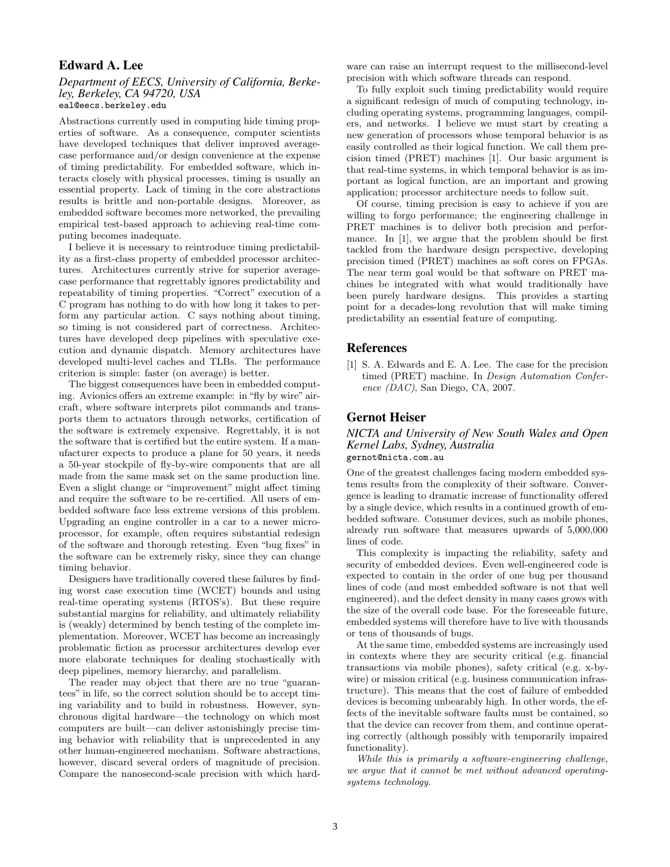# **Edward A. Lee**

#### *Department of EECS, University of California, Berkeley, Berkeley, CA 94720, USA* eal@eecs.berkeley.edu

Abstractions currently used in computing hide timing properties of software. As a consequence, computer scientists have developed techniques that deliver improved averagecase performance and/or design convenience at the expense of timing predictability. For embedded software, which interacts closely with physical processes, timing is usually an essential property. Lack of timing in the core abstractions results is brittle and non-portable designs. Moreover, as embedded software becomes more networked, the prevailing empirical test-based approach to achieving real-time computing becomes inadequate.

I believe it is necessary to reintroduce timing predictability as a first-class property of embedded processor architectures. Architectures currently strive for superior averagecase performance that regrettably ignores predictability and repeatability of timing properties. "Correct" execution of a C program has nothing to do with how long it takes to perform any particular action. C says nothing about timing, so timing is not considered part of correctness. Architectures have developed deep pipelines with speculative execution and dynamic dispatch. Memory architectures have developed multi-level caches and TLBs. The performance criterion is simple: faster (on average) is better.

The biggest consequences have been in embedded computing. Avionics offers an extreme example: in "fly by wire" aircraft, where software interprets pilot commands and transports them to actuators through networks, certification of the software is extremely expensive. Regrettably, it is not the software that is certified but the entire system. If a manufacturer expects to produce a plane for 50 years, it needs a 50-year stockpile of fly-by-wire components that are all made from the same mask set on the same production line. Even a slight change or "improvement" might affect timing and require the software to be re-certified. All users of embedded software face less extreme versions of this problem. Upgrading an engine controller in a car to a newer microprocessor, for example, often requires substantial redesign of the software and thorough retesting. Even "bug fixes" in the software can be extremely risky, since they can change timing behavior.

Designers have traditionally covered these failures by finding worst case execution time (WCET) bounds and using real-time operating systems (RTOS's). But these require substantial margins for reliability, and ultimately reliability is (weakly) determined by bench testing of the complete implementation. Moreover, WCET has become an increasingly problematic fiction as processor architectures develop ever more elaborate techniques for dealing stochastically with deep pipelines, memory hierarchy, and parallelism.

The reader may object that there are no true "guarantees" in life, so the correct solution should be to accept timing variability and to build in robustness. However, synchronous digital hardware—the technology on which most computers are built—can deliver astonishingly precise timing behavior with reliability that is unprecedented in any other human-engineered mechanism. Software abstractions, however, discard several orders of magnitude of precision. Compare the nanosecond-scale precision with which hard-

ware can raise an interrupt request to the millisecond-level precision with which software threads can respond.

To fully exploit such timing predictability would require a significant redesign of much of computing technology, including operating systems, programming languages, compilers, and networks. I believe we must start by creating a new generation of processors whose temporal behavior is as easily controlled as their logical function. We call them precision timed (PRET) machines [1]. Our basic argument is that real-time systems, in which temporal behavior is as important as logical function, are an important and growing application; processor architecture needs to follow suit.

Of course, timing precision is easy to achieve if you are willing to forgo performance; the engineering challenge in PRET machines is to deliver both precision and performance. In [1], we argue that the problem should be first tackled from the hardware design perspective, developing precision timed (PRET) machines as soft cores on FPGAs. The near term goal would be that software on PRET machines be integrated with what would traditionally have been purely hardware designs. This provides a starting point for a decades-long revolution that will make timing predictability an essential feature of computing.

### **References**

[1] S. A. Edwards and E. A. Lee. The case for the precision timed (PRET) machine. In *Design Automation Conference (DAC)*, San Diego, CA, 2007.

# **Gernot Heiser**

*NICTA and University of New South Wales and Open Kernel Labs, Sydney, Australia* gernot@nicta.com.au

One of the greatest challenges facing modern embedded systems results from the complexity of their software. Convergence is leading to dramatic increase of functionality offered by a single device, which results in a continued growth of embedded software. Consumer devices, such as mobile phones, already run software that measures upwards of 5,000,000 lines of code.

This complexity is impacting the reliability, safety and security of embedded devices. Even well-engineered code is expected to contain in the order of one bug per thousand lines of code (and most embedded software is not that well engineered), and the defect density in many cases grows with the size of the overall code base. For the foreseeable future, embedded systems will therefore have to live with thousands or tens of thousands of bugs.

At the same time, embedded systems are increasingly used in contexts where they are security critical (e.g. financial transactions via mobile phones), safety critical (e.g. x-bywire) or mission critical (e.g. business communication infrastructure). This means that the cost of failure of embedded devices is becoming unbearably high. In other words, the effects of the inevitable software faults must be contained, so that the device can recover from them, and continue operating correctly (although possibly with temporarily impaired functionality).

*While this is primarily a software-engineering challenge, we argue that it cannot be met without advanced operatingsystems technology.*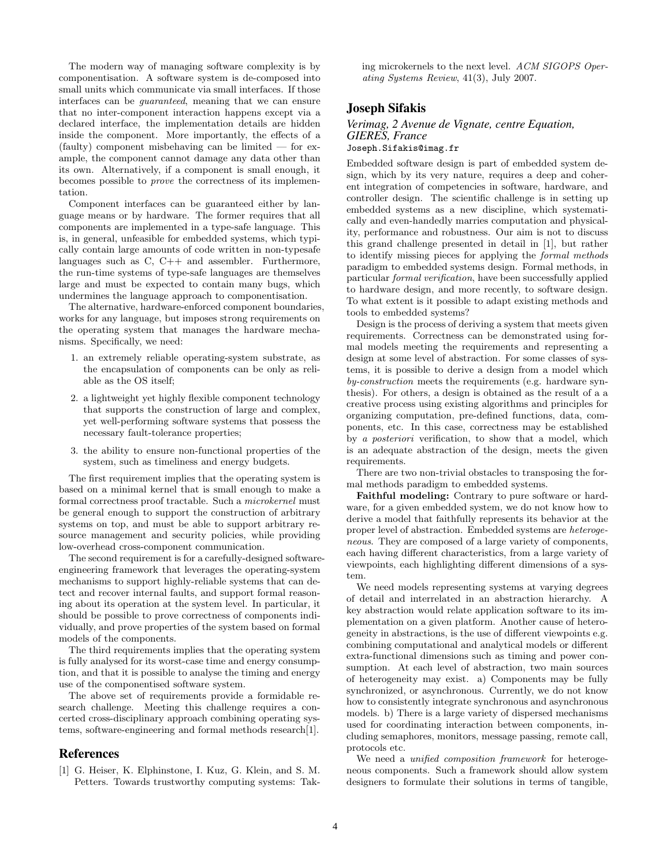The modern way of managing software complexity is by componentisation. A software system is de-composed into small units which communicate via small interfaces. If those interfaces can be *guaranteed*, meaning that we can ensure that no inter-component interaction happens except via a declared interface, the implementation details are hidden inside the component. More importantly, the effects of a  $(faulty)$  component misbehaving can be limited — for example, the component cannot damage any data other than its own. Alternatively, if a component is small enough, it becomes possible to *prove* the correctness of its implementation.

Component interfaces can be guaranteed either by language means or by hardware. The former requires that all components are implemented in a type-safe language. This is, in general, unfeasible for embedded systems, which typically contain large amounts of code written in non-typesafe languages such as C, C++ and assembler. Furthermore, the run-time systems of type-safe languages are themselves large and must be expected to contain many bugs, which undermines the language approach to componentisation.

The alternative, hardware-enforced component boundaries, works for any language, but imposes strong requirements on the operating system that manages the hardware mechanisms. Specifically, we need:

- 1. an extremely reliable operating-system substrate, as the encapsulation of components can be only as reliable as the OS itself;
- 2. a lightweight yet highly flexible component technology that supports the construction of large and complex, yet well-performing software systems that possess the necessary fault-tolerance properties;
- 3. the ability to ensure non-functional properties of the system, such as timeliness and energy budgets.

The first requirement implies that the operating system is based on a minimal kernel that is small enough to make a formal correctness proof tractable. Such a *microkernel* must be general enough to support the construction of arbitrary systems on top, and must be able to support arbitrary resource management and security policies, while providing low-overhead cross-component communication.

The second requirement is for a carefully-designed softwareengineering framework that leverages the operating-system mechanisms to support highly-reliable systems that can detect and recover internal faults, and support formal reasoning about its operation at the system level. In particular, it should be possible to prove correctness of components individually, and prove properties of the system based on formal models of the components.

The third requirements implies that the operating system is fully analysed for its worst-case time and energy consumption, and that it is possible to analyse the timing and energy use of the componentised software system.

The above set of requirements provide a formidable research challenge. Meeting this challenge requires a concerted cross-disciplinary approach combining operating systems, software-engineering and formal methods research[1].

### **References**

[1] G. Heiser, K. Elphinstone, I. Kuz, G. Klein, and S. M. Petters. Towards trustworthy computing systems: Taking microkernels to the next level. *ACM SIGOPS Operating Systems Review*, 41(3), July 2007.

## **Joseph Sifakis**

#### *Verimag, 2 Avenue de Vignate, centre Equation, GIERES, France* Joseph.Sifakis@imag.fr

Embedded software design is part of embedded system design, which by its very nature, requires a deep and coherent integration of competencies in software, hardware, and controller design. The scientific challenge is in setting up embedded systems as a new discipline, which systematically and even-handedly marries computation and physicality, performance and robustness. Our aim is not to discuss this grand challenge presented in detail in [1], but rather to identify missing pieces for applying the *formal methods* paradigm to embedded systems design. Formal methods, in particular *formal verification*, have been successfully applied to hardware design, and more recently, to software design. To what extent is it possible to adapt existing methods and tools to embedded systems?

Design is the process of deriving a system that meets given requirements. Correctness can be demonstrated using formal models meeting the requirements and representing a design at some level of abstraction. For some classes of systems, it is possible to derive a design from a model which *by-construction* meets the requirements (e.g. hardware synthesis). For others, a design is obtained as the result of a a creative process using existing algorithms and principles for organizing computation, pre-defined functions, data, components, etc. In this case, correctness may be established by *a posteriori* verification, to show that a model, which is an adequate abstraction of the design, meets the given requirements.

There are two non-trivial obstacles to transposing the formal methods paradigm to embedded systems.

**Faithful modeling:** Contrary to pure software or hardware, for a given embedded system, we do not know how to derive a model that faithfully represents its behavior at the proper level of abstraction. Embedded systems are *heterogeneous*. They are composed of a large variety of components, each having different characteristics, from a large variety of viewpoints, each highlighting different dimensions of a system.

We need models representing systems at varying degrees of detail and interrelated in an abstraction hierarchy. A key abstraction would relate application software to its implementation on a given platform. Another cause of heterogeneity in abstractions, is the use of different viewpoints e.g. combining computational and analytical models or different extra-functional dimensions such as timing and power consumption. At each level of abstraction, two main sources of heterogeneity may exist. a) Components may be fully synchronized, or asynchronous. Currently, we do not know how to consistently integrate synchronous and asynchronous models. b) There is a large variety of dispersed mechanisms used for coordinating interaction between components, including semaphores, monitors, message passing, remote call, protocols etc.

We need a *unified composition framework* for heterogeneous components. Such a framework should allow system designers to formulate their solutions in terms of tangible,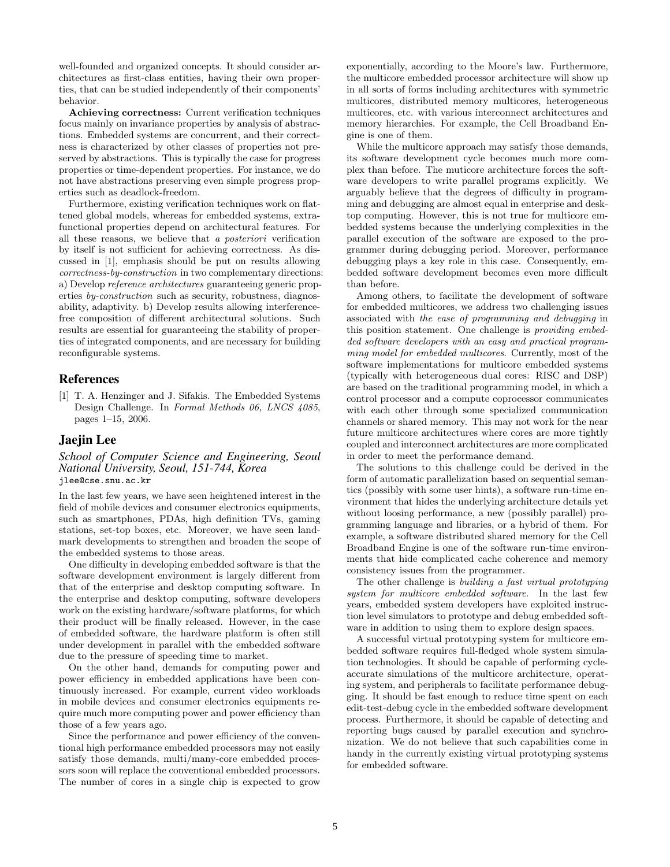well-founded and organized concepts. It should consider architectures as first-class entities, having their own properties, that can be studied independently of their components' behavior.

**Achieving correctness:** Current verification techniques focus mainly on invariance properties by analysis of abstractions. Embedded systems are concurrent, and their correctness is characterized by other classes of properties not preserved by abstractions. This is typically the case for progress properties or time-dependent properties. For instance, we do not have abstractions preserving even simple progress properties such as deadlock-freedom.

Furthermore, existing verification techniques work on flattened global models, whereas for embedded systems, extrafunctional properties depend on architectural features. For all these reasons, we believe that *a posteriori* verification by itself is not sufficient for achieving correctness. As discussed in [1], emphasis should be put on results allowing *correctness-by-construction* in two complementary directions: a) Develop *reference architectures* guaranteeing generic properties *by-construction* such as security, robustness, diagnosability, adaptivity. b) Develop results allowing interferencefree composition of different architectural solutions. Such results are essential for guaranteeing the stability of properties of integrated components, and are necessary for building reconfigurable systems.

## **References**

[1] T. A. Henzinger and J. Sifakis. The Embedded Systems Design Challenge. In *Formal Methods 06, LNCS 4085*, pages 1–15, 2006.

### **Jaejin Lee**

#### *School of Computer Science and Engineering, Seoul National University, Seoul, 151-744, Korea* jlee@cse.snu.ac.kr

In the last few years, we have seen heightened interest in the field of mobile devices and consumer electronics equipments, such as smartphones, PDAs, high definition TVs, gaming stations, set-top boxes, etc. Moreover, we have seen landmark developments to strengthen and broaden the scope of the embedded systems to those areas.

One difficulty in developing embedded software is that the software development environment is largely different from that of the enterprise and desktop computing software. In the enterprise and desktop computing, software developers work on the existing hardware/software platforms, for which their product will be finally released. However, in the case of embedded software, the hardware platform is often still under development in parallel with the embedded software due to the pressure of speeding time to market.

On the other hand, demands for computing power and power efficiency in embedded applications have been continuously increased. For example, current video workloads in mobile devices and consumer electronics equipments require much more computing power and power efficiency than those of a few years ago.

Since the performance and power efficiency of the conventional high performance embedded processors may not easily satisfy those demands, multi/many-core embedded processors soon will replace the conventional embedded processors. The number of cores in a single chip is expected to grow exponentially, according to the Moore's law. Furthermore, the multicore embedded processor architecture will show up in all sorts of forms including architectures with symmetric multicores, distributed memory multicores, heterogeneous multicores, etc. with various interconnect architectures and memory hierarchies. For example, the Cell Broadband Engine is one of them.

While the multicore approach may satisfy those demands, its software development cycle becomes much more complex than before. The muticore architecture forces the software developers to write parallel programs explicitly. We arguably believe that the degrees of difficulty in programming and debugging are almost equal in enterprise and desktop computing. However, this is not true for multicore embedded systems because the underlying complexities in the parallel execution of the software are exposed to the programmer during debugging period. Moreover, performance debugging plays a key role in this case. Consequently, embedded software development becomes even more difficult than before.

Among others, to facilitate the development of software for embedded multicores, we address two challenging issues associated with *the ease of programming and debugging* in this position statement. One challenge is *providing embedded software developers with an easy and practical programming model for embedded multicores*. Currently, most of the software implementations for multicore embedded systems (typically with heterogeneous dual cores: RISC and DSP) are based on the traditional programming model, in which a control processor and a compute coprocessor communicates with each other through some specialized communication channels or shared memory. This may not work for the near future multicore architectures where cores are more tightly coupled and interconnect architectures are more complicated in order to meet the performance demand.

The solutions to this challenge could be derived in the form of automatic parallelization based on sequential semantics (possibly with some user hints), a software run-time environment that hides the underlying architecture details yet without loosing performance, a new (possibly parallel) programming language and libraries, or a hybrid of them. For example, a software distributed shared memory for the Cell Broadband Engine is one of the software run-time environments that hide complicated cache coherence and memory consistency issues from the programmer.

The other challenge is *building a fast virtual prototyping system for multicore embedded software*. In the last few years, embedded system developers have exploited instruction level simulators to prototype and debug embedded software in addition to using them to explore design spaces.

A successful virtual prototyping system for multicore embedded software requires full-fledged whole system simulation technologies. It should be capable of performing cycleaccurate simulations of the multicore architecture, operating system, and peripherals to facilitate performance debugging. It should be fast enough to reduce time spent on each edit-test-debug cycle in the embedded software development process. Furthermore, it should be capable of detecting and reporting bugs caused by parallel execution and synchronization. We do not believe that such capabilities come in handy in the currently existing virtual prototyping systems for embedded software.